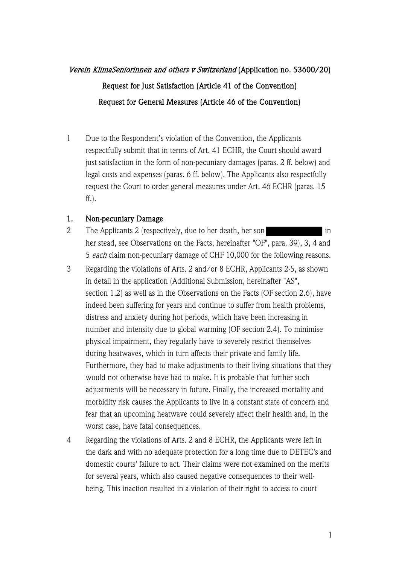# Verein KlimaSeniorinnen and others v Switzerland (Application no. 53600/20) Request for Just Satisfaction (Article 41 of the Convention) Request for General Measures (Article 46 of the Convention)

1 Due to the Respondent's violation of the Convention, the Applicants respectfully submit that in terms of Art. 41 ECHR, the Court should award just satisfaction in the form of non-pecuniary damages (paras. 2 ff. below) and legal costs and expenses (paras. 6 ff. below). The Applicants also respectfully request the Court to order general measures under Art. 46 ECHR (paras. 15 ff.).

#### 1. Non-pecuniary Damage

- 2 The Applicants 2 (respectively, due to her death, her son her stead, see Observations on the Facts, hereinafter "OF", para. 39), 3, 4 and 5 each claim non-pecuniary damage of CHF 10,000 for the following reasons.
- 3 Regarding the violations of Arts. 2 and/or 8 ECHR, Applicants 2-5, as shown in detail in the application (Additional Submission, hereinafter "AS", section 1.2) as well as in the Observations on the Facts (OF section 2.6), have indeed been suffering for years and continue to suffer from health problems, distress and anxiety during hot periods, which have been increasing in number and intensity due to global warming (OF section 2.4). To minimise physical impairment, they regularly have to severely restrict themselves during heatwaves, which in turn affects their private and family life. Furthermore, they had to make adjustments to their living situations that they would not otherwise have had to make. It is probable that further such adjustments will be necessary in future. Finally, the increased mortality and morbidity risk causes the Applicants to live in a constant state of concern and fear that an upcoming heatwave could severely affect their health and, in the worst case, have fatal consequences.
- 4 Regarding the violations of Arts. 2 and 8 ECHR, the Applicants were left in the dark and with no adequate protection for a long time due to DETEC's and domestic courts' failure to act. Their claims were not examined on the merits for several years, which also caused negative consequences to their wellbeing. This inaction resulted in a violation of their right to access to court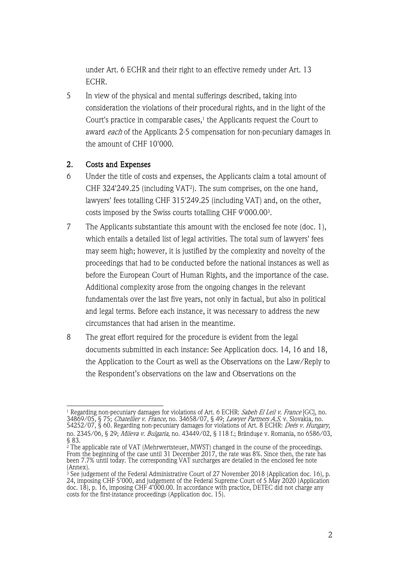under Art. 6 ECHR and their right to an effective remedy under Art. 13 ECHR.

5 In view of the physical and mental sufferings described, taking into consideration the violations of their procedural rights, and in the light of the Court's practice in comparable cases, $<sup>1</sup>$  the Applicants request the Court to</sup> award each of the Applicants 2-5 compensation for non-pecuniary damages in the amount of CHF 10'000.

## 2. Costs and Expenses

- 6 Under the title of costs and expenses, the Applicants claim a total amount of CHF 324'249.25 (including VAT<sup>2</sup>). The sum comprises, on the one hand, lawyers' fees totalling CHF 315'249.25 (including VAT) and, on the other, costs imposed by the Swiss courts totalling CHF 9'000.003.
- 7 The Applicants substantiate this amount with the enclosed fee note (doc. 1), which entails a detailed list of legal activities. The total sum of lawyers' fees may seem high; however, it is justified by the complexity and novelty of the proceedings that had to be conducted before the national instances as well as before the European Court of Human Rights, and the importance of the case. Additional complexity arose from the ongoing changes in the relevant fundamentals over the last five years, not only in factual, but also in political and legal terms. Before each instance, it was necessary to address the new circumstances that had arisen in the meantime.
- 8 The great effort required for the procedure is evident from the legal documents submitted in each instance: See Application docs. 14, 16 and 18, the Application to the Court as well as the Observations on the Law/Reply to the Respondent's observations on the law and Observations on the

 $^{\rm 1}$  Regarding non-pecuniary damages for violations of Art. 6 ECHR: *Sabeh El Leil v. France* [GC], no. 34869/05, § 75; *Chatellier v. France,* no. 34658/07, § 49; *Lawyer Partners A.S.* v. Slovakia, no. 54252/07, § 60. Regarding non-pecuniary damages for violations of Art. 8 ECHR: *Deés v. Hungary,* no. 2345/06, § 29; *Mileva v. Bulgaria,* no. 43449/02, § 118 f.; Brânduşe v. Romania, no 6586/03, § 83.

 $^2$  The applicable rate of VAT (Mehrwertsteuer, MWST) changed in the course of the proceedings. From the beginning of the case until 31 December 2017, the rate was 8%. Since then, the rate has been 7.7% until today. The corresponding VAT surcharges are detailed in the enclosed fee note (Annex).

<sup>3</sup> See judgement of the Federal Administrative Court of 27 November 2018 (Application doc. 16), p. 24, imposing CHF 5'000, and judgement of the Federal Supreme Court of 5 May 2020 (Application doc. 18), p. 16, imposing CHF 4'000.00. In accordance with practice, DETEC did not charge any costs for the first-instance proceedings (Application doc. 15).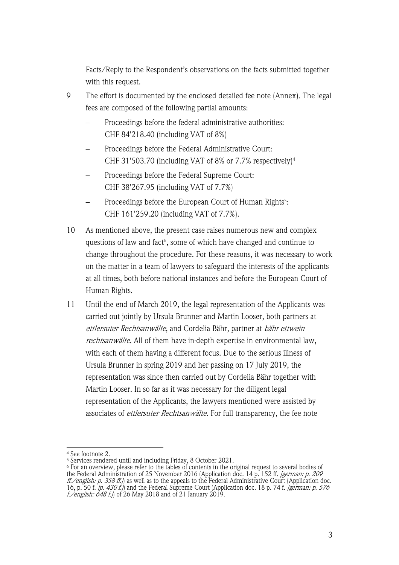Facts/Reply to the Respondent's observations on the facts submitted together with this request.

- 9 The effort is documented by the enclosed detailed fee note (Annex). The legal fees are composed of the following partial amounts:
	- Proceedings before the federal administrative authorities: CHF 84'218.40 (including VAT of 8%)
	- Proceedings before the Federal Administrative Court: CHF 31'503.70 (including VAT of 8% or 7.7% respectively)<sup>4</sup>
	- Proceedings before the Federal Supreme Court: CHF 38'267.95 (including VAT of 7.7%)
	- Proceedings before the European Court of Human Rights<sup>5</sup>: CHF 161'259.20 (including VAT of 7.7%).
- 10 As mentioned above, the present case raises numerous new and complex questions of law and fact<sup>6</sup>, some of which have changed and continue to change throughout the procedure. For these reasons, it was necessary to work on the matter in a team of lawyers to safeguard the interests of the applicants at all times, both before national instances and before the European Court of Human Rights.
- 11 Until the end of March 2019, the legal representation of the Applicants was carried out jointly by Ursula Brunner and Martin Looser, both partners at ettlersuter Rechtsanwälte, and Cordelia Bähr, partner at bähr ettwein rechtsanwälte. All of them have in-depth expertise in environmental law, with each of them having a different focus. Due to the serious illness of Ursula Brunner in spring 2019 and her passing on 17 July 2019, the representation was since then carried out by Cordelia Bähr together with Martin Looser. In so far as it was necessary for the diligent legal representation of the Applicants, the lawyers mentioned were assisted by associates of *ettlersuter Rechtsanwälte*. For full transparency, the fee note

<sup>&</sup>lt;sup>4</sup> See footnote 2.<br><sup>5</sup> Services rendered until and including Friday, 8 October 2021.

 $^6$  For an overview, please refer to the tables of contents in the original request to several bodies of the Federal Administration of 25 November 2016 (Application doc. 14 p. 152 ff. [german: p. 209 ff./english: p. 358 ff.) as well as to the appeals to the Federal Administrative Court (Application doc. 16, p. 50 f. *[p. 430 f.]*) and the Federal Supreme Court (Application doc. 18 p. 74 f. *[german: p. 576 f./english: 648 f.)*] of 26 May 2018 and of 21 January 2019.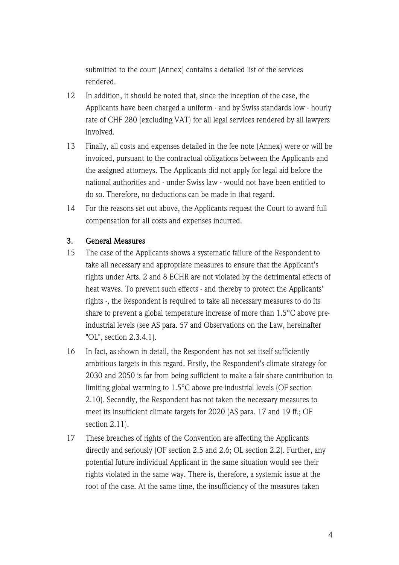submitted to the court (Annex) contains a detailed list of the services rendered.

- 12 In addition, it should be noted that, since the inception of the case, the Applicants have been charged a uniform - and by Swiss standards low - hourly rate of CHF 280 (excluding VAT) for all legal services rendered by all lawyers involved.
- 13 Finally, all costs and expenses detailed in the fee note (Annex) were or will be invoiced, pursuant to the contractual obligations between the Applicants and the assigned attorneys. The Applicants did not apply for legal aid before the national authorities and - under Swiss law - would not have been entitled to do so. Therefore, no deductions can be made in that regard.
- 14 For the reasons set out above, the Applicants request the Court to award full compensation for all costs and expenses incurred.

## 3. General Measures

- 15 The case of the Applicants shows a systematic failure of the Respondent to take all necessary and appropriate measures to ensure that the Applicant's rights under Arts. 2 and 8 ECHR are not violated by the detrimental effects of heat waves. To prevent such effects - and thereby to protect the Applicants' rights -, the Respondent is required to take all necessary measures to do its share to prevent a global temperature increase of more than 1.5°C above preindustrial levels (see AS para. 57 and Observations on the Law, hereinafter "OL", section 2.3.4.1).
- 16 In fact, as shown in detail, the Respondent has not set itself sufficiently ambitious targets in this regard. Firstly, the Respondent's climate strategy for 2030 and 2050 is far from being sufficient to make a fair share contribution to limiting global warming to 1.5°C above pre-industrial levels (OF section 2.10). Secondly, the Respondent has not taken the necessary measures to meet its insufficient climate targets for 2020 (AS para. 17 and 19 ff.; OF section 2.11).
- 17 These breaches of rights of the Convention are affecting the Applicants directly and seriously (OF section 2.5 and 2.6; OL section 2.2). Further, any potential future individual Applicant in the same situation would see their rights violated in the same way. There is, therefore, a systemic issue at the root of the case. At the same time, the insufficiency of the measures taken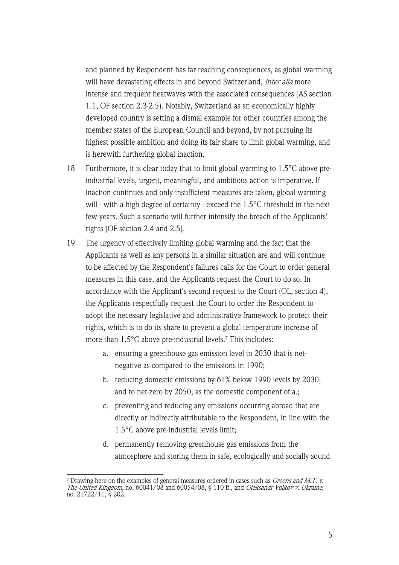and planned by Respondent has far-reaching consequences, as global warming will have devastating effects in and beyond Switzerland, *inter alia* more intense and frequent heatwaves with the associated consequences (AS section 1.1, OF section 2.3-2.5). Notably, Switzerland as an economically highly developed country is setting a dismal example for other countries among the member states of the European Council and beyond, by not pursuing its highest possible ambition and doing its fair share to limit global warming, and is herewith furthering global inaction.

- 18 Furthermore, it is clear today that to limit global warming to 1.5°C above preindustrial levels, urgent, meaningful, and ambitious action is imperative. If inaction continues and only insufficient measures are taken, global warming will - with a high degree of certainty - exceed the 1.5°C threshold in the next few years. Such a scenario will further intensify the breach of the Applicants' rights (OF section 2.4 and 2.5).
- 19 The urgency of effectively limiting global warming and the fact that the Applicants as well as any persons in a similar situation are and will continue to be affected by the Respondent's failures calls for the Court to order general measures in this case, and the Applicants request the Court to do so. In accordance with the Applicant's second request to the Court (OL, section 4), the Applicants respectfully request the Court to order the Respondent to adopt the necessary legislative and administrative framework to protect their rights, which is to do its share to prevent a global temperature increase of more than 1.5°C above pre-industrial levels.7 This includes:
	- a. ensuring a greenhouse gas emission level in 2030 that is netnegative as compared to the emissions in 1990;
	- b. reducing domestic emissions by 61% below 1990 levels by 2030, and to net-zero by 2050, as the domestic component of a.;
	- c. preventing and reducing any emissions occurring abroad that are directly or indirectly attributable to the Respondent, in line with the 1.5°C above pre-industrial levels limit;
	- d. permanently removing greenhouse gas emissions from the atmosphere and storing them in safe, ecologically and socially sound

<sup>&</sup>lt;sup>7</sup> Drawing here on the examples of general measures ordered in cases such as *Greens and M.T. v.* The United Kingdom, no. 60041/08 and 60054/08, § 110 ff., and Oleksandr Volkov v. Ukraine, no. 21722/11, § 202.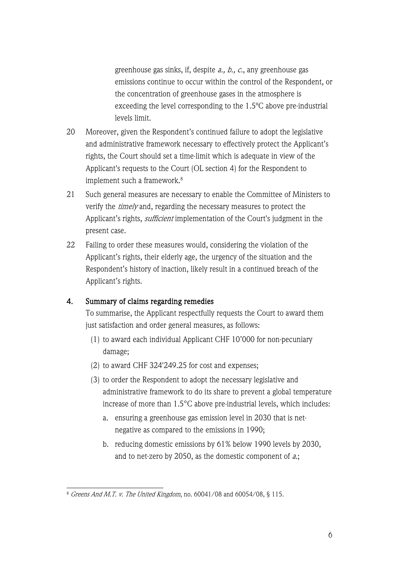greenhouse gas sinks, if, despite a., b., c., any greenhouse gas emissions continue to occur within the control of the Respondent, or the concentration of greenhouse gases in the atmosphere is exceeding the level corresponding to the 1.5ºC above pre-industrial levels limit.

- 20 Moreover, given the Respondent's continued failure to adopt the legislative and administrative framework necessary to effectively protect the Applicant's rights, the Court should set a time-limit which is adequate in view of the Applicant's requests to the Court (OL section 4) for the Respondent to implement such a framework.<sup>8</sup>
- 21 Such general measures are necessary to enable the Committee of Ministers to verify the *timely* and, regarding the necessary measures to protect the Applicant's rights, *sufficient* implementation of the Court's judgment in the present case.
- 22 Failing to order these measures would, considering the violation of the Applicant's rights, their elderly age, the urgency of the situation and the Respondent's history of inaction, likely result in a continued breach of the Applicant's rights.

#### 4. Summary of claims regarding remedies

To summarise, the Applicant respectfully requests the Court to award them just satisfaction and order general measures, as follows:

- (1) to award each individual Applicant CHF 10'000 for non-pecuniary damage;
- (2) to award CHF 324'249.25 for cost and expenses;
- (3) to order the Respondent to adopt the necessary legislative and administrative framework to do its share to prevent a global temperature increase of more than 1.5°C above pre-industrial levels, which includes:
	- a. ensuring a greenhouse gas emission level in 2030 that is netnegative as compared to the emissions in 1990;
	- b. reducing domestic emissions by 61% below 1990 levels by 2030, and to net-zero by 2050, as the domestic component of a.;

<sup>8</sup> Greens And M.T. v. The United Kingdom, no. 60041/08 and 60054/08, § 115.